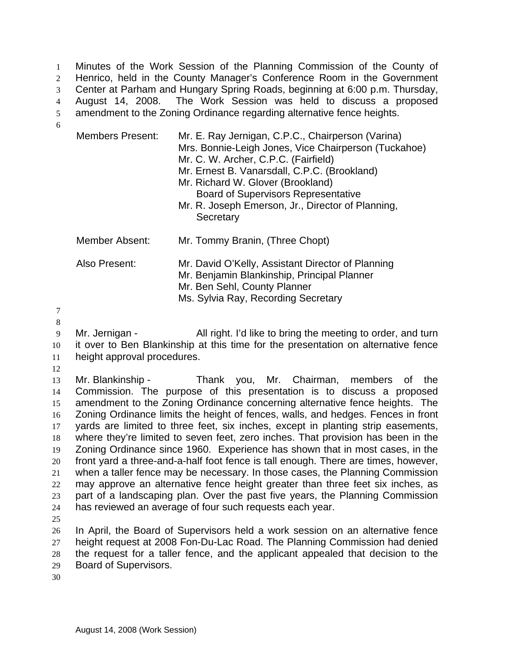Minutes of the Work Session of the Planning Commission of the County of Henrico, held in the County Manager's Conference Room in the Government Center at Parham and Hungary Spring Roads, beginning at 6:00 p.m. Thursday, August 14, 2008. The Work Session was held to discuss a proposed amendment to the Zoning Ordinance regarding alternative fence heights. 1  $\mathcal{L}$ 3 4 5

- Members Present: Mr. E. Ray Jernigan, C.P.C., Chairperson (Varina) Mrs. Bonnie-Leigh Jones, Vice Chairperson (Tuckahoe) Mr. C. W. Archer, C.P.C. (Fairfield) Mr. Ernest B. Vanarsdall, C.P.C. (Brookland) Mr. Richard W. Glover (Brookland)
	- Board of Supervisors Representative Mr. R. Joseph Emerson, Jr., Director of Planning, **Secretary**

| Member Absent: | Mr. Tommy Branin, (Three Chopt)                                                                                                                                         |
|----------------|-------------------------------------------------------------------------------------------------------------------------------------------------------------------------|
| Also Present:  | Mr. David O'Kelly, Assistant Director of Planning<br>Mr. Benjamin Blankinship, Principal Planner<br>Mr. Ben Sehl, County Planner<br>Ms. Sylvia Ray, Recording Secretary |

7 8

6

- 9 10 11 Mr. Jernigan - All right. I'd like to bring the meeting to order, and turn it over to Ben Blankinship at this time for the presentation on alternative fence height approval procedures.
- 12

13 14 15 16 17 18 19 20 21 22 23 24 Mr. Blankinship - Thank you, Mr. Chairman, members of the Commission. The purpose of this presentation is to discuss a proposed amendment to the Zoning Ordinance concerning alternative fence heights. The Zoning Ordinance limits the height of fences, walls, and hedges. Fences in front yards are limited to three feet, six inches, except in planting strip easements, where they're limited to seven feet, zero inches. That provision has been in the Zoning Ordinance since 1960. Experience has shown that in most cases, in the front yard a three-and-a-half foot fence is tall enough. There are times, however, when a taller fence may be necessary. In those cases, the Planning Commission may approve an alternative fence height greater than three feet six inches, as part of a landscaping plan. Over the past five years, the Planning Commission has reviewed an average of four such requests each year.

25

26 27 28 29 In April, the Board of Supervisors held a work session on an alternative fence height request at 2008 Fon-Du-Lac Road. The Planning Commission had denied the request for a taller fence, and the applicant appealed that decision to the Board of Supervisors.

30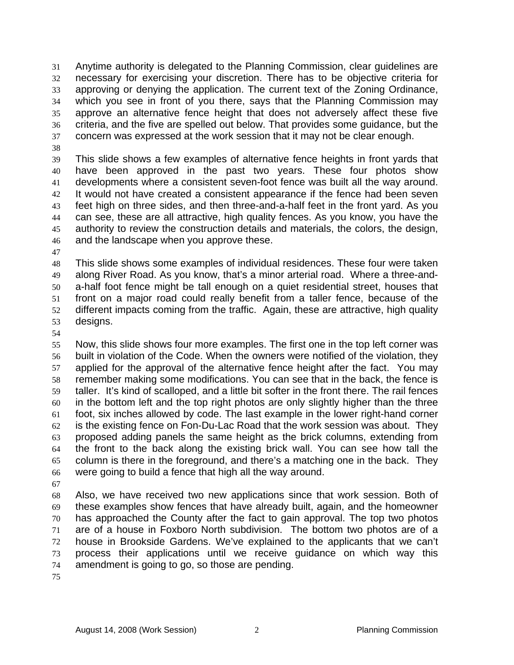Anytime authority is delegated to the Planning Commission, clear guidelines are necessary for exercising your discretion. There has to be objective criteria for approving or denying the application. The current text of the Zoning Ordinance, which you see in front of you there, says that the Planning Commission may approve an alternative fence height that does not adversely affect these five criteria, and the five are spelled out below. That provides some guidance, but the concern was expressed at the work session that it may not be clear enough. 31 32 33 34 35 36 37

38

39 40 41 42 43 44 45 46 This slide shows a few examples of alternative fence heights in front yards that have been approved in the past two years. These four photos show developments where a consistent seven-foot fence was built all the way around. It would not have created a consistent appearance if the fence had been seven feet high on three sides, and then three-and-a-half feet in the front yard. As you can see, these are all attractive, high quality fences. As you know, you have the authority to review the construction details and materials, the colors, the design, and the landscape when you approve these.

47

48 49 50 51 52 53 This slide shows some examples of individual residences. These four were taken along River Road. As you know, that's a minor arterial road. Where a three-anda-half foot fence might be tall enough on a quiet residential street, houses that front on a major road could really benefit from a taller fence, because of the different impacts coming from the traffic. Again, these are attractive, high quality designs.

54

55 56 57 58 59 60 61 62 63 64 65 66 Now, this slide shows four more examples. The first one in the top left corner was built in violation of the Code. When the owners were notified of the violation, they applied for the approval of the alternative fence height after the fact. You may remember making some modifications. You can see that in the back, the fence is taller. It's kind of scalloped, and a little bit softer in the front there. The rail fences in the bottom left and the top right photos are only slightly higher than the three foot, six inches allowed by code. The last example in the lower right-hand corner is the existing fence on Fon-Du-Lac Road that the work session was about. They proposed adding panels the same height as the brick columns, extending from the front to the back along the existing brick wall. You can see how tall the column is there in the foreground, and there's a matching one in the back. They were going to build a fence that high all the way around.

67

68 69 70 71 72 73 74 Also, we have received two new applications since that work session. Both of these examples show fences that have already built, again, and the homeowner has approached the County after the fact to gain approval. The top two photos are of a house in Foxboro North subdivision. The bottom two photos are of a house in Brookside Gardens. We've explained to the applicants that we can't process their applications until we receive guidance on which way this amendment is going to go, so those are pending.

75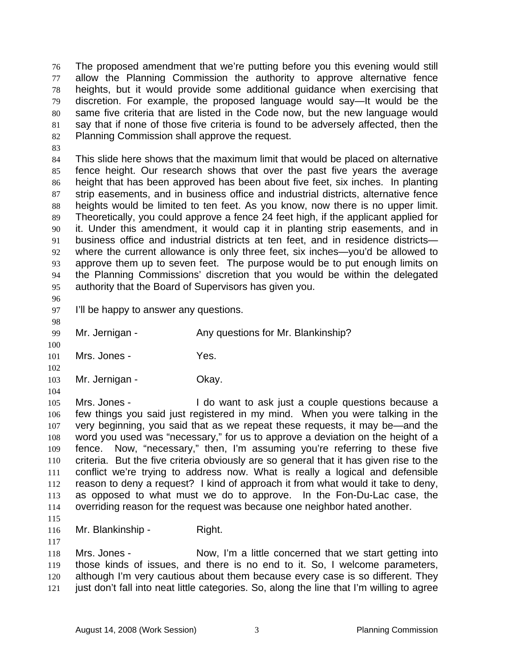The proposed amendment that we're putting before you this evening would still allow the Planning Commission the authority to approve alternative fence heights, but it would provide some additional guidance when exercising that discretion. For example, the proposed language would say—It would be the same five criteria that are listed in the Code now, but the new language would say that if none of those five criteria is found to be adversely affected, then the Planning Commission shall approve the request. 76 77 78 79 80 81 82

83

84 85 86 87 88 89 90 91 92 93 94 95 This slide here shows that the maximum limit that would be placed on alternative fence height. Our research shows that over the past five years the average height that has been approved has been about five feet, six inches. In planting strip easements, and in business office and industrial districts, alternative fence heights would be limited to ten feet. As you know, now there is no upper limit. Theoretically, you could approve a fence 24 feet high, if the applicant applied for it. Under this amendment, it would cap it in planting strip easements, and in business office and industrial districts at ten feet, and in residence districts where the current allowance is only three feet, six inches—you'd be allowed to approve them up to seven feet. The purpose would be to put enough limits on the Planning Commissions' discretion that you would be within the delegated authority that the Board of Supervisors has given you.

96 97

I'll be happy to answer any questions.

98 99

104

100 Mr. Jernigan - Any questions for Mr. Blankinship?

101 102 Mrs. Jones - Yes.

103 Mr. Jernigan - Ckay.

105 106 107 108 109 110 111 112 113 114 Mrs. Jones - I do want to ask just a couple questions because a few things you said just registered in my mind. When you were talking in the very beginning, you said that as we repeat these requests, it may be—and the word you used was "necessary," for us to approve a deviation on the height of a fence. Now, "necessary," then, I'm assuming you're referring to these five criteria. But the five criteria obviously are so general that it has given rise to the conflict we're trying to address now. What is really a logical and defensible reason to deny a request? I kind of approach it from what would it take to deny, as opposed to what must we do to approve. In the Fon-Du-Lac case, the overriding reason for the request was because one neighbor hated another.

115

117

116 Mr. Blankinship - Right.

118 119 120 121 Mrs. Jones - Now, I'm a little concerned that we start getting into those kinds of issues, and there is no end to it. So, I welcome parameters, although I'm very cautious about them because every case is so different. They just don't fall into neat little categories. So, along the line that I'm willing to agree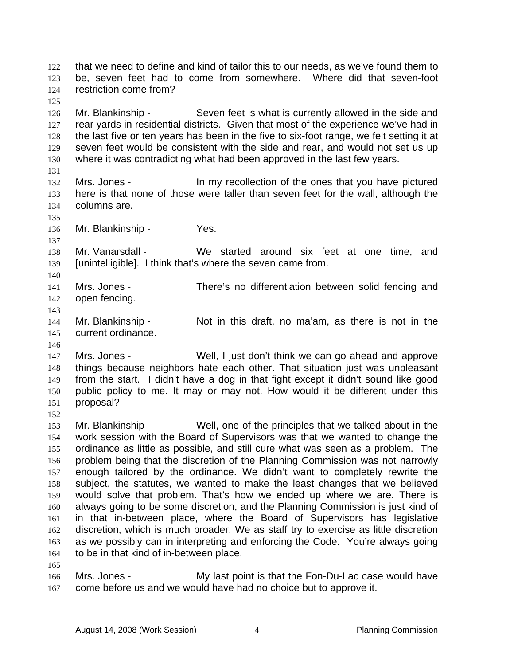that we need to define and kind of tailor this to our needs, as we've found them to be, seven feet had to come from somewhere. Where did that seven-foot restriction come from? 122 123 124

126 127 128 129 130 Mr. Blankinship - Seven feet is what is currently allowed in the side and rear yards in residential districts. Given that most of the experience we've had in the last five or ten years has been in the five to six-foot range, we felt setting it at seven feet would be consistent with the side and rear, and would not set us up where it was contradicting what had been approved in the last few years.

131

135

137

140

143

146

152

165

125

- 132 133 134 Mrs. Jones - In my recollection of the ones that you have pictured here is that none of those were taller than seven feet for the wall, although the columns are.
- 136 Mr. Blankinship - Yes.

138 139 Mr. Vanarsdall - We started around six feet at one time, and [unintelligible]. I think that's where the seven came from.

141 142 Mrs. Jones - There's no differentiation between solid fencing and open fencing.

144 145 Mr. Blankinship - Not in this draft, no ma'am, as there is not in the current ordinance.

147 148 149 150 151 Mrs. Jones - Well, I just don't think we can go ahead and approve things because neighbors hate each other. That situation just was unpleasant from the start. I didn't have a dog in that fight except it didn't sound like good public policy to me. It may or may not. How would it be different under this proposal?

153 154 155 156 157 158 159 160 161 162 163 164 Mr. Blankinship - Well, one of the principles that we talked about in the work session with the Board of Supervisors was that we wanted to change the ordinance as little as possible, and still cure what was seen as a problem. The problem being that the discretion of the Planning Commission was not narrowly enough tailored by the ordinance. We didn't want to completely rewrite the subject, the statutes, we wanted to make the least changes that we believed would solve that problem. That's how we ended up where we are. There is always going to be some discretion, and the Planning Commission is just kind of in that in-between place, where the Board of Supervisors has legislative discretion, which is much broader. We as staff try to exercise as little discretion as we possibly can in interpreting and enforcing the Code. You're always going to be in that kind of in-between place.

166 167 Mrs. Jones - The My last point is that the Fon-Du-Lac case would have come before us and we would have had no choice but to approve it.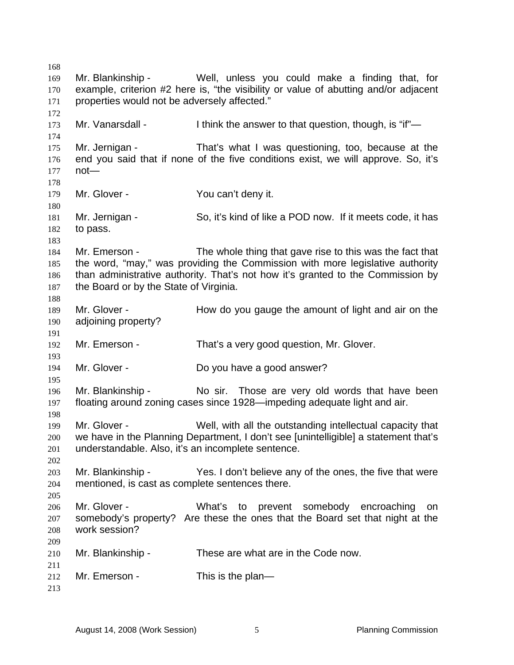168 169 170 171 172 173 174 175 176 177 178 179 180 181 182 183 184 185 186 187 188 189 190 191 192 193 194 195 196 197 198 199 200 201 202 203 204 205 206 207 208 209 210 211 212 213 Mr. Blankinship - Well, unless you could make a finding that, for example, criterion #2 here is, "the visibility or value of abutting and/or adjacent properties would not be adversely affected." Mr. Vanarsdall - I think the answer to that question, though, is "if"— Mr. Jernigan - That's what I was questioning, too, because at the end you said that if none of the five conditions exist, we will approve. So, it's not— Mr. Glover - You can't deny it. Mr. Jernigan - So, it's kind of like a POD now. If it meets code, it has to pass. Mr. Emerson - The whole thing that gave rise to this was the fact that the word, "may," was providing the Commission with more legislative authority than administrative authority. That's not how it's granted to the Commission by the Board or by the State of Virginia. Mr. Glover - How do you gauge the amount of light and air on the adjoining property? Mr. Emerson - That's a very good question, Mr. Glover. Mr. Glover - Do you have a good answer? Mr. Blankinship - No sir. Those are very old words that have been floating around zoning cases since 1928—impeding adequate light and air. Mr. Glover - Well, with all the outstanding intellectual capacity that we have in the Planning Department, I don't see [unintelligible] a statement that's understandable. Also, it's an incomplete sentence. Mr. Blankinship - Yes. I don't believe any of the ones, the five that were mentioned, is cast as complete sentences there. Mr. Glover - What's to prevent somebody encroaching on somebody's property? Are these the ones that the Board set that night at the work session? Mr. Blankinship - These are what are in the Code now. Mr. Emerson - This is the plan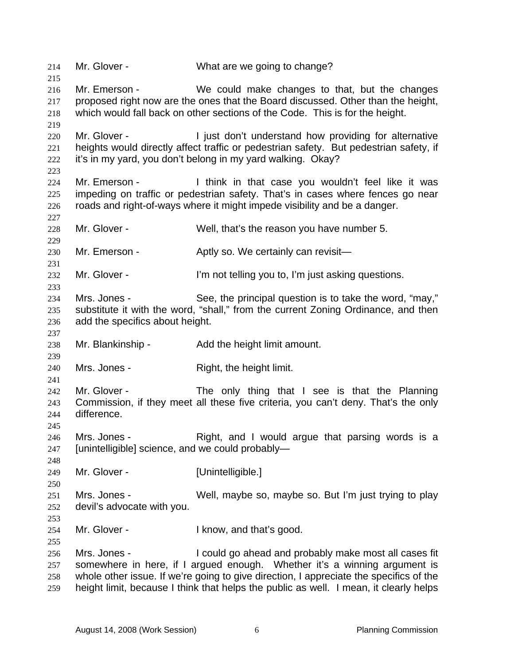214 Mr. Glover - What are we going to change? 215 216 217 218 219 220 221 222 223  $224$ 225 226 227 228 229 230 231 232 233 234 235 236 237 238 239 240 241 242 243 244 245 246 247 248 249 250 251 252 253 254 255 256 257 258 259 Mr. Emerson - We could make changes to that, but the changes proposed right now are the ones that the Board discussed. Other than the height, which would fall back on other sections of the Code. This is for the height. Mr. Glover - The Unit don't understand how providing for alternative heights would directly affect traffic or pedestrian safety. But pedestrian safety, if it's in my yard, you don't belong in my yard walking. Okay? Mr. Emerson - Think in that case you wouldn't feel like it was impeding on traffic or pedestrian safety. That's in cases where fences go near roads and right-of-ways where it might impede visibility and be a danger. Mr. Glover - Well, that's the reason you have number 5. Mr. Emerson - Aptly so. We certainly can revisit— Mr. Glover - The I'm not telling you to, I'm just asking questions. Mrs. Jones - See, the principal question is to take the word, "may," substitute it with the word, "shall," from the current Zoning Ordinance, and then add the specifics about height. Mr. Blankinship - Add the height limit amount. Mrs. Jones - Right, the height limit. Mr. Glover - The only thing that I see is that the Planning Commission, if they meet all these five criteria, you can't deny. That's the only difference. Mrs. Jones - The Right, and I would argue that parsing words is a [unintelligible] science, and we could probably— Mr. Glover - [Unintelligible.] Mrs. Jones - Well, maybe so, maybe so. But I'm just trying to play devil's advocate with you. Mr. Glover - The Report of the U know, and that's good. Mrs. Jones - I could go ahead and probably make most all cases fit somewhere in here, if I argued enough. Whether it's a winning argument is whole other issue. If we're going to give direction, I appreciate the specifics of the height limit, because I think that helps the public as well. I mean, it clearly helps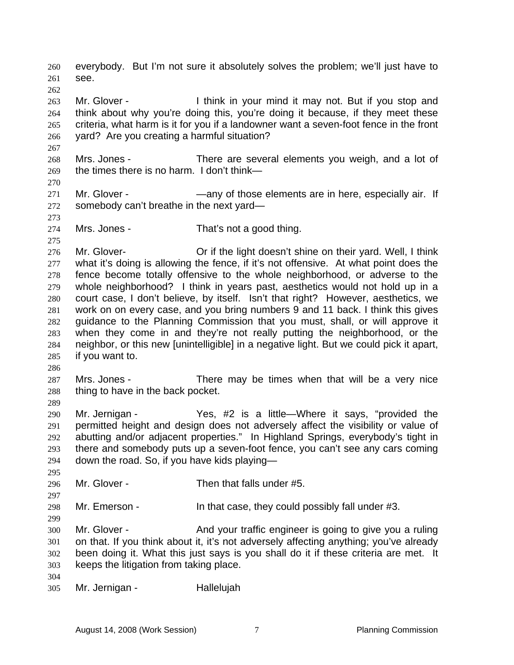everybody. But I'm not sure it absolutely solves the problem; we'll just have to see. 260 261 262 263 264 265 266 267 268 269 270 271 272 273 274 275 276 277 278 279 280 281 282 283 284 285 286 287 288 289 290 291 292 293 294 295 296 297 298 299 300 301 302 303 304 305 Mr. Glover - I think in your mind it may not. But if you stop and think about why you're doing this, you're doing it because, if they meet these criteria, what harm is it for you if a landowner want a seven-foot fence in the front yard? Are you creating a harmful situation? Mrs. Jones - There are several elements you weigh, and a lot of the times there is no harm. I don't think— Mr. Glover - — — — — any of those elements are in here, especially air. If somebody can't breathe in the next yard— Mrs. Jones - That's not a good thing. Mr. Glover- Or if the light doesn't shine on their yard. Well, I think what it's doing is allowing the fence, if it's not offensive. At what point does the fence become totally offensive to the whole neighborhood, or adverse to the whole neighborhood? I think in years past, aesthetics would not hold up in a court case, I don't believe, by itself. Isn't that right? However, aesthetics, we work on on every case, and you bring numbers 9 and 11 back. I think this gives guidance to the Planning Commission that you must, shall, or will approve it when they come in and they're not really putting the neighborhood, or the neighbor, or this new [unintelligible] in a negative light. But we could pick it apart, if you want to. Mrs. Jones - There may be times when that will be a very nice thing to have in the back pocket. Mr. Jernigan - Yes, #2 is a little—Where it says, "provided the permitted height and design does not adversely affect the visibility or value of abutting and/or adjacent properties." In Highland Springs, everybody's tight in there and somebody puts up a seven-foot fence, you can't see any cars coming down the road. So, if you have kids playing— Mr. Glover - Then that falls under #5. Mr. Emerson - In that case, they could possibly fall under #3. Mr. Glover - And your traffic engineer is going to give you a ruling on that. If you think about it, it's not adversely affecting anything; you've already been doing it. What this just says is you shall do it if these criteria are met. It keeps the litigation from taking place. Mr. Jernigan - Hallelujah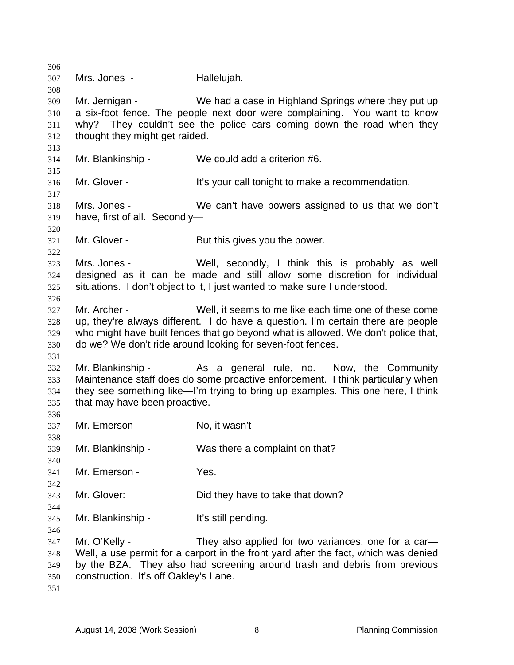306 307 308 309 310 311 312 313 314 315 316 317 318 319 320 321 322 323 324 325 326 327 328 329 330 331 332 333 334 335 336 337 338 339 340 341 342 343 344 345 346 347 348 349 350 351 Mrs. Jones - **Hallelujah.** Mr. Jernigan - We had a case in Highland Springs where they put up a six-foot fence. The people next door were complaining. You want to know why? They couldn't see the police cars coming down the road when they thought they might get raided. Mr. Blankinship - We could add a criterion #6. Mr. Glover - The State of the Vour call tonight to make a recommendation. Mrs. Jones - We can't have powers assigned to us that we don't have, first of all. Secondly— Mr. Glover - But this gives you the power. Mrs. Jones - The Mell, secondly, I think this is probably as well designed as it can be made and still allow some discretion for individual situations. I don't object to it, I just wanted to make sure I understood. Mr. Archer - Well, it seems to me like each time one of these come up, they're always different. I do have a question. I'm certain there are people who might have built fences that go beyond what is allowed. We don't police that, do we? We don't ride around looking for seven-foot fences. Mr. Blankinship - The As a general rule, no. Now, the Community Maintenance staff does do some proactive enforcement. I think particularly when they see something like—I'm trying to bring up examples. This one here, I think that may have been proactive. Mr. Emerson - No, it wasn't-Mr. Blankinship - Was there a complaint on that? Mr. Emerson - Yes. Mr. Glover: Did they have to take that down? Mr. Blankinship - It's still pending. Mr. O'Kelly - They also applied for two variances, one for a car-Well, a use permit for a carport in the front yard after the fact, which was denied by the BZA. They also had screening around trash and debris from previous construction. It's off Oakley's Lane.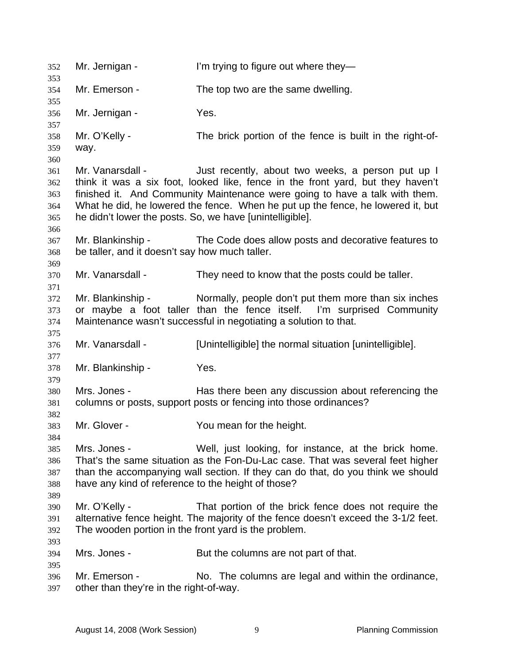352 Mr. Jernigan - I'm trying to figure out where they— 353 354 355 356 357 358 359 360 361 362 363 364 365 366 367 368 369 370 371 372 373 374 375 376 377 378 379 380 381 382 383 384 385 386 387 388 389 390 391 392 393 394 395 396 397 Mr. Emerson - The top two are the same dwelling. Mr. Jernigan - Yes. Mr. O'Kelly - The brick portion of the fence is built in the right-ofway. Mr. Vanarsdall - Just recently, about two weeks, a person put up I think it was a six foot, looked like, fence in the front yard, but they haven't finished it. And Community Maintenance were going to have a talk with them. What he did, he lowered the fence. When he put up the fence, he lowered it, but he didn't lower the posts. So, we have [unintelligible]. Mr. Blankinship - The Code does allow posts and decorative features to be taller, and it doesn't say how much taller. Mr. Vanarsdall - They need to know that the posts could be taller. Mr. Blankinship - Normally, people don't put them more than six inches or maybe a foot taller than the fence itself. I'm surprised Community Maintenance wasn't successful in negotiating a solution to that. Mr. Vanarsdall - [Unintelligible] the normal situation [unintelligible]. Mr. Blankinship - Yes. Mrs. Jones - Has there been any discussion about referencing the columns or posts, support posts or fencing into those ordinances? Mr. Glover - The You mean for the height. Mrs. Jones - Well, just looking, for instance, at the brick home. That's the same situation as the Fon-Du-Lac case. That was several feet higher than the accompanying wall section. If they can do that, do you think we should have any kind of reference to the height of those? Mr. O'Kelly - That portion of the brick fence does not require the alternative fence height. The majority of the fence doesn't exceed the 3-1/2 feet. The wooden portion in the front yard is the problem. Mrs. Jones - But the columns are not part of that. Mr. Emerson - No. The columns are legal and within the ordinance, other than they're in the right-of-way.